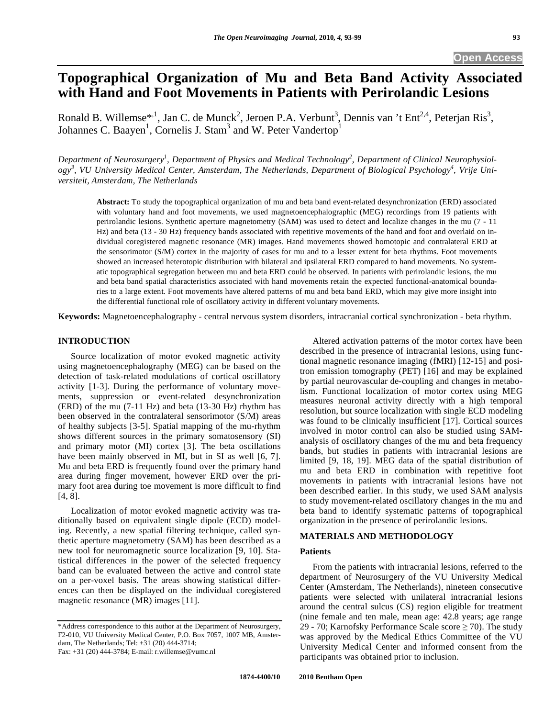# **Topographical Organization of Mu and Beta Band Activity Associated with Hand and Foot Movements in Patients with Perirolandic Lesions**

Ronald B. Willemse<sup>\*, 1</sup>, Jan C. de Munck<sup>2</sup>, Jeroen P.A. Verbunt<sup>3</sup>, Dennis van 't Ent<sup>2,4</sup>, Peterjan Ris<sup>3</sup>, Johannes C. Baayen<sup>1</sup>, Cornelis J. Stam<sup>3</sup> and W. Peter Vandertop<sup>1</sup>

Department of Neurosurgery<sup>1</sup>, Department of Physics and Medical Technology<sup>2</sup>, Department of Clinical Neurophysiology<sup>3</sup>, VU University Medical Center, Amsterdam, The Netherlands, Department of Biological Psychology<sup>4</sup>, Vrije Uni*versiteit, Amsterdam, The Netherlands* 

**Abstract:** To study the topographical organization of mu and beta band event-related desynchronization (ERD) associated with voluntary hand and foot movements, we used magnetoencephalographic (MEG) recordings from 19 patients with perirolandic lesions. Synthetic aperture magnetometry (SAM) was used to detect and localize changes in the mu (7 - 11 Hz) and beta (13 - 30 Hz) frequency bands associated with repetitive movements of the hand and foot and overlaid on individual coregistered magnetic resonance (MR) images. Hand movements showed homotopic and contralateral ERD at the sensorimotor (S/M) cortex in the majority of cases for mu and to a lesser extent for beta rhythms. Foot movements showed an increased heterotopic distribution with bilateral and ipsilateral ERD compared to hand movements. No systematic topographical segregation between mu and beta ERD could be observed. In patients with perirolandic lesions, the mu and beta band spatial characteristics associated with hand movements retain the expected functional-anatomical boundaries to a large extent. Foot movements have altered patterns of mu and beta band ERD, which may give more insight into the differential functional role of oscillatory activity in different voluntary movements.

**Keywords:** Magnetoencephalography - central nervous system disorders, intracranial cortical synchronization - beta rhythm.

# **INTRODUCTION**

Source localization of motor evoked magnetic activity using magnetoencephalography (MEG) can be based on the detection of task-related modulations of cortical oscillatory activity [1-3]. During the performance of voluntary movements, suppression or event-related desynchronization (ERD) of the mu (7-11 Hz) and beta (13-30 Hz) rhythm has been observed in the contralateral sensorimotor (S/M) areas of healthy subjects [3-5]. Spatial mapping of the mu-rhythm shows different sources in the primary somatosensory (SI) and primary motor (MI) cortex [3]. The beta oscillations have been mainly observed in MI, but in SI as well [6, 7]. Mu and beta ERD is frequently found over the primary hand area during finger movement, however ERD over the primary foot area during toe movement is more difficult to find [4, 8].

Localization of motor evoked magnetic activity was traditionally based on equivalent single dipole (ECD) modeling. Recently, a new spatial filtering technique, called synthetic aperture magnetometry (SAM) has been described as a new tool for neuromagnetic source localization [9, 10]. Statistical differences in the power of the selected frequency band can be evaluated between the active and control state on a per-voxel basis. The areas showing statistical differences can then be displayed on the individual coregistered magnetic resonance (MR) images [11].

Altered activation patterns of the motor cortex have been described in the presence of intracranial lesions, using functional magnetic resonance imaging (fMRI) [12-15] and positron emission tomography (PET) [16] and may be explained by partial neurovascular de-coupling and changes in metabolism. Functional localization of motor cortex using MEG measures neuronal activity directly with a high temporal resolution, but source localization with single ECD modeling was found to be clinically insufficient [17]. Cortical sources involved in motor control can also be studied using SAManalysis of oscillatory changes of the mu and beta frequency bands, but studies in patients with intracranial lesions are limited [9, 18, 19]. MEG data of the spatial distribution of mu and beta ERD in combination with repetitive foot movements in patients with intracranial lesions have not been described earlier. In this study, we used SAM analysis to study movement-related oscillatory changes in the mu and beta band to identify systematic patterns of topographical organization in the presence of perirolandic lesions.

# **MATERIALS AND METHODOLOGY**

# **Patients**

From the patients with intracranial lesions, referred to the department of Neurosurgery of the VU University Medical Center (Amsterdam, The Netherlands), nineteen consecutive patients were selected with unilateral intracranial lesions around the central sulcus (CS) region eligible for treatment (nine female and ten male, mean age: 42.8 years; age range 29 - 70; Karnofsky Performance Scale score  $\geq$  70). The study was approved by the Medical Ethics Committee of the VU University Medical Center and informed consent from the participants was obtained prior to inclusion.

<sup>\*</sup>Address correspondence to this author at the Department of Neurosurgery, F2-010, VU University Medical Center, P.O. Box 7057, 1007 MB, Amsterdam, The Netherlands; Tel: +31 (20) 444-3714; Fax: +31 (20) 444-3784; E-mail: r.willemse@vumc.nl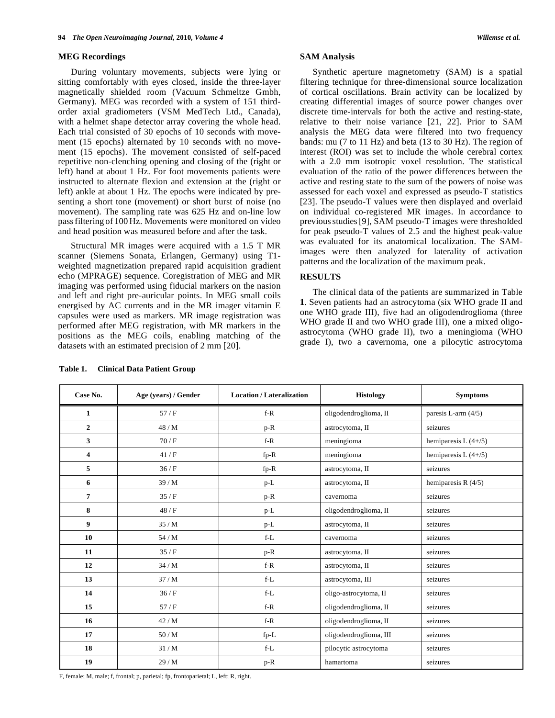# **MEG Recordings**

During voluntary movements, subjects were lying or sitting comfortably with eyes closed, inside the three-layer magnetically shielded room (Vacuum Schmeltze Gmbh, Germany). MEG was recorded with a system of 151 thirdorder axial gradiometers (VSM MedTech Ltd., Canada), with a helmet shape detector array covering the whole head. Each trial consisted of 30 epochs of 10 seconds with movement (15 epochs) alternated by 10 seconds with no movement (15 epochs). The movement consisted of self-paced repetitive non-clenching opening and closing of the (right or left) hand at about 1 Hz. For foot movements patients were instructed to alternate flexion and extension at the (right or left) ankle at about 1 Hz. The epochs were indicated by presenting a short tone (movement) or short burst of noise (no movement). The sampling rate was 625 Hz and on-line low passfiltering of 100 Hz. Movements were monitored on video and head position was measured before and after the task.

Structural MR images were acquired with a 1.5 T MR scanner (Siemens Sonata, Erlangen, Germany) using T1 weighted magnetization prepared rapid acquisition gradient echo (MPRAGE) sequence. Coregistration of MEG and MR imaging was performed using fiducial markers on the nasion and left and right pre-auricular points. In MEG small coils energised by AC currents and in the MR imager vitamin E capsules were used as markers. MR image registration was performed after MEG registration, with MR markers in the positions as the MEG coils, enabling matching of the datasets with an estimated precision of 2 mm [20].

# **SAM Analysis**

Synthetic aperture magnetometry (SAM) is a spatial filtering technique for three-dimensional source localization of cortical oscillations. Brain activity can be localized by creating differential images of source power changes over discrete time-intervals for both the active and resting-state, relative to their noise variance [21, 22]. Prior to SAM analysis the MEG data were filtered into two frequency bands: mu (7 to 11 Hz) and beta (13 to 30 Hz). The region of interest (ROI) was set to include the whole cerebral cortex with a 2.0 mm isotropic voxel resolution. The statistical evaluation of the ratio of the power differences between the active and resting state to the sum of the powers of noise was assessed for each voxel and expressed as pseudo-T statistics [23]. The pseudo-T values were then displayed and overlaid on individual co-registered MR images. In accordance to previousstudies[9], SAM pseudo-T images were thresholded for peak pseudo-T values of 2.5 and the highest peak-value was evaluated for its anatomical localization. The SAMimages were then analyzed for laterality of activation patterns and the localization of the maximum peak.

# **RESULTS**

The clinical data of the patients are summarized in Table **1**. Seven patients had an astrocytoma (six WHO grade II and one WHO grade III), five had an oligodendroglioma (three WHO grade II and two WHO grade III), one a mixed oligoastrocytoma (WHO grade II), two a meningioma (WHO grade I), two a cavernoma, one a pilocytic astrocytoma

| Case No.       | Age (years) / Gender | <b>Location / Lateralization</b> | <b>Histology</b>       | <b>Symptoms</b>        |  |
|----------------|----------------------|----------------------------------|------------------------|------------------------|--|
| $\mathbf{1}$   | 57/F                 | $f-R$                            | oligodendroglioma, II  | paresis L-arm $(4/5)$  |  |
| $\mathbf{2}$   | 48/M                 | $p-R$                            | astrocytoma, II        | seizures               |  |
| 3              | 70/F                 | $f-R$                            | meningioma             | hemiparesis L $(4+/5)$ |  |
| 4              | 41/F                 | $fp-R$                           | meningioma             | hemiparesis L $(4+/5)$ |  |
| 5              | 36/F                 | $fp-R$                           | astrocytoma, II        | seizures               |  |
| 6              | 39/M                 | $p-L$                            | astrocytoma, II        | hemiparesis R $(4/5)$  |  |
| $\overline{7}$ | 35/F                 | $p-R$                            | cavernoma              | seizures               |  |
| 8              | 48/F                 | $p-L$                            | oligodendroglioma, II  | seizures               |  |
| 9              | 35/M                 | p-L                              | astrocytoma, II        | seizures               |  |
| 10             | 54 / M               | $f-L$                            | cavernoma              | seizures               |  |
| 11             | 35/F                 | p-R                              | astrocytoma, II        | seizures               |  |
| 12             | 34/M                 | $f-R$                            | astrocytoma, II        | seizures               |  |
| 13             | 37/M                 | $f-L$                            | astrocytoma, III       | seizures               |  |
| 14             | 36/F                 | $f-L$                            | oligo-astrocytoma, II  | seizures               |  |
| 15             | 57/F                 | $f-R$                            | oligodendroglioma, II  | seizures               |  |
| 16             | 42/M                 | $f-R$                            | oligodendroglioma, II  | seizures               |  |
| 17             | 50/M                 | fp-L                             | oligodendroglioma, III | seizures               |  |
| 18             | 31/M                 | f-L                              | pilocytic astrocytoma  | seizures               |  |
| 19             | 29/M                 | $p-R$                            | hamartoma              | seizures               |  |

**Table 1. Clinical Data Patient Group** 

F, female; M, male; f, frontal; p, parietal; fp, frontoparietal; L, left; R, right.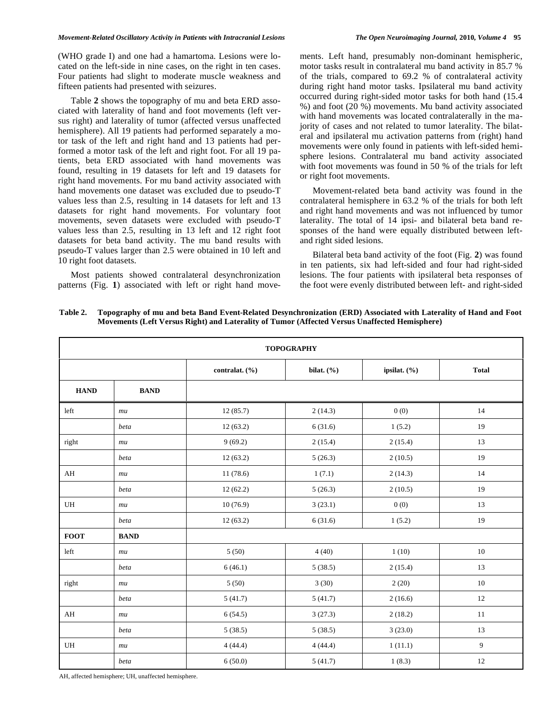### *Movement-Related Oscillatory Activity in Patients with Intracranial Lesions The Open Neuroimaging Journal,* **2010***, Volume 4* **95**

(WHO grade I) and one had a hamartoma. Lesions were located on the left-side in nine cases, on the right in ten cases. Four patients had slight to moderate muscle weakness and fifteen patients had presented with seizures.

Table **2** shows the topography of mu and beta ERD associated with laterality of hand and foot movements (left versus right) and laterality of tumor (affected versus unaffected hemisphere). All 19 patients had performed separately a motor task of the left and right hand and 13 patients had performed a motor task of the left and right foot. For all 19 patients, beta ERD associated with hand movements was found, resulting in 19 datasets for left and 19 datasets for right hand movements. For mu band activity associated with hand movements one dataset was excluded due to pseudo-T values less than 2.5, resulting in 14 datasets for left and 13 datasets for right hand movements. For voluntary foot movements, seven datasets were excluded with pseudo-T values less than 2.5, resulting in 13 left and 12 right foot datasets for beta band activity. The mu band results with pseudo-T values larger than 2.5 were obtained in 10 left and 10 right foot datasets.

Most patients showed contralateral desynchronization patterns (Fig. **1**) associated with left or right hand movements. Left hand, presumably non-dominant hemispheric, motor tasks result in contralateral mu band activity in 85.7 % of the trials, compared to 69.2 % of contralateral activity during right hand motor tasks. Ipsilateral mu band activity occurred during right-sided motor tasks for both hand (15.4 %) and foot (20 %) movements. Mu band activity associated with hand movements was located contralaterally in the majority of cases and not related to tumor laterality. The bilateral and ipsilateral mu activation patterns from (right) hand movements were only found in patients with left-sided hemisphere lesions. Contralateral mu band activity associated with foot movements was found in 50 % of the trials for left or right foot movements.

Movement-related beta band activity was found in the contralateral hemisphere in 63.2 % of the trials for both left and right hand movements and was not influenced by tumor laterality. The total of 14 ipsi- and bilateral beta band responses of the hand were equally distributed between leftand right sided lesions.

Bilateral beta band activity of the foot (Fig. **2**) was found in ten patients, six had left-sided and four had right-sided lesions. The four patients with ipsilateral beta responses of the foot were evenly distributed between left- and right-sided

**Table 2. Topography of mu and beta Band Event-Related Desynchronization (ERD) Associated with Laterality of Hand and Foot Movements (Left Versus Right) and Laterality of Tumor (Affected Versus Unaffected Hemisphere)** 

| <b>TOPOGRAPHY</b> |             |                |               |              |              |  |  |
|-------------------|-------------|----------------|---------------|--------------|--------------|--|--|
|                   |             | contralat. (%) | bilat. $(\%)$ | ipsilat. (%) | <b>Total</b> |  |  |
| <b>HAND</b>       | <b>BAND</b> |                |               |              |              |  |  |
| left              | mu          | 12(85.7)       | 2(14.3)       | 0(0)         | 14           |  |  |
|                   | beta        | 12(63.2)       | 6(31.6)       | 1(5.2)       | 19           |  |  |
| right             | mu          | 9(69.2)        | 2(15.4)       | 2(15.4)      | 13           |  |  |
|                   | beta        | 12(63.2)       | 5(26.3)       | 2(10.5)      | 19           |  |  |
| AH                | mu          | 11(78.6)       | 1(7.1)        | 2(14.3)      | 14           |  |  |
|                   | beta        | 12(62.2)       | 5(26.3)       | 2(10.5)      | 19           |  |  |
| UH                | mu          | 10(76.9)       | 3(23.1)       | 0(0)         | 13           |  |  |
|                   | beta        | 12(63.2)       | 6(31.6)       | 1(5.2)       | 19           |  |  |
| <b>FOOT</b>       | <b>BAND</b> |                |               |              |              |  |  |
| left              | mu          | 5(50)          | 4(40)         | 1(10)        | $10\,$       |  |  |
|                   | beta        | 6(46.1)        | 5(38.5)       | 2(15.4)      | 13           |  |  |
| right             | mu          | 5(50)          | 3(30)         | 2(20)        | $10\,$       |  |  |
|                   | beta        | 5(41.7)        | 5(41.7)       | 2(16.6)      | 12           |  |  |
| AH                | mu          | 6(54.5)        | 3(27.3)       | 2(18.2)      | $11\,$       |  |  |
|                   | beta        | 5(38.5)        | 5(38.5)       | 3(23.0)      | 13           |  |  |
| UH                | mu          | 4(44.4)        | 4(44.4)       | 1(11.1)      | 9            |  |  |
|                   | beta        | 6(50.0)        | 5(41.7)       | 1(8.3)       | $12\,$       |  |  |

AH, affected hemisphere; UH, unaffected hemisphere.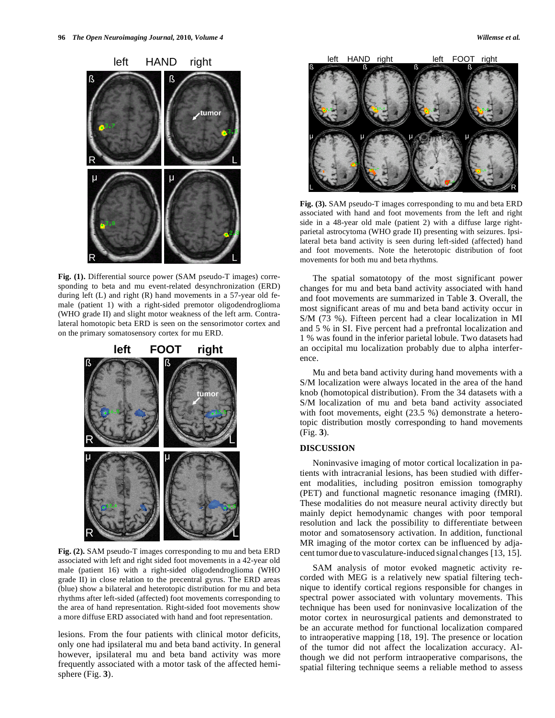

**Fig. (1).** Differential source power (SAM pseudo-T images) corresponding to beta and mu event-related desynchronization (ERD) during left (L) and right (R) hand movements in a 57-year old female (patient 1) with a right-sided premotor oligodendroglioma (WHO grade II) and slight motor weakness of the left arm. Contralateral homotopic beta ERD is seen on the sensorimotor cortex and on the primary somatosensory cortex for mu ERD.



**Fig. (2).** SAM pseudo-T images corresponding to mu and beta ERD associated with left and right sided foot movements in a 42-year old male (patient 16) with a right-sided oligodendroglioma (WHO grade II) in close relation to the precentral gyrus. The ERD areas (blue) show a bilateral and heterotopic distribution for mu and beta rhythms after left-sided (affected) foot movements corresponding to the area of hand representation. Right-sided foot movements show a more diffuse ERD associated with hand and foot representation.

lesions. From the four patients with clinical motor deficits, only one had ipsilateral mu and beta band activity. In general however, ipsilateral mu and beta band activity was more frequently associated with a motor task of the affected hemisphere (Fig. **3**).



**Fig. (3).** SAM pseudo-T images corresponding to mu and beta ERD associated with hand and foot movements from the left and right side in a 48-year old male (patient 2) with a diffuse large rightparietal astrocytoma (WHO grade II) presenting with seizures. Ipsilateral beta band activity is seen during left-sided (affected) hand and foot movements. Note the heterotopic distribution of foot movements for both mu and beta rhythms.

The spatial somatotopy of the most significant power changes for mu and beta band activity associated with hand and foot movements are summarized in Table **3**. Overall, the most significant areas of mu and beta band activity occur in S/M (73 %). Fifteen percent had a clear localization in MI and 5 % in SI. Five percent had a prefrontal localization and 1 % was found in the inferior parietal lobule. Two datasets had an occipital mu localization probably due to alpha interference.

Mu and beta band activity during hand movements with a S/M localization were always located in the area of the hand knob (homotopical distribution). From the 34 datasets with a S/M localization of mu and beta band activity associated with foot movements, eight (23.5 %) demonstrate a heterotopic distribution mostly corresponding to hand movements (Fig. **3**).

# **DISCUSSION**

Noninvasive imaging of motor cortical localization in patients with intracranial lesions, has been studied with different modalities, including positron emission tomography (PET) and functional magnetic resonance imaging (fMRI). These modalities do not measure neural activity directly but mainly depict hemodynamic changes with poor temporal resolution and lack the possibility to differentiate between motor and somatosensory activation. In addition, functional MR imaging of the motor cortex can be influenced by adjacent tumor due to vasculature-induced signal changes [13, 15].

SAM analysis of motor evoked magnetic activity recorded with MEG is a relatively new spatial filtering technique to identify cortical regions responsible for changes in spectral power associated with voluntary movements. This technique has been used for noninvasive localization of the motor cortex in neurosurgical patients and demonstrated to be an accurate method for functional localization compared to intraoperative mapping [18, 19]. The presence or location of the tumor did not affect the localization accuracy. Although we did not perform intraoperative comparisons, the spatial filtering technique seems a reliable method to assess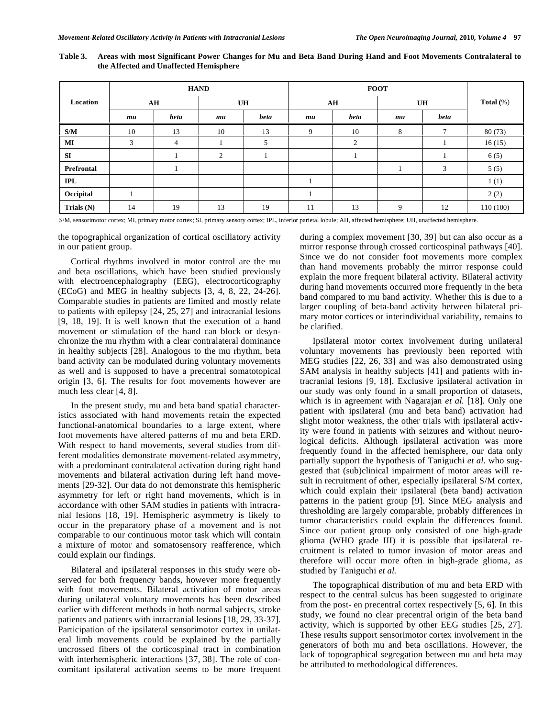|                   | <b>HAND</b> |                |           | <b>FOOT</b> |            |      |    |      |              |
|-------------------|-------------|----------------|-----------|-------------|------------|------|----|------|--------------|
| Location          | ${\bf AH}$  |                | <b>UH</b> |             | ${\bf AH}$ |      | UH |      | Total $(\%)$ |
|                   | mu          | beta           | mu        | beta        | mu         | beta | mu | beta |              |
| S/M               | 10          | 13             | 10        | 13          | 9          | 10   | 8  | 7    | 80(73)       |
| MI                | 3           | $\overline{4}$ |           | 5           |            | 2    |    |      | 16(15)       |
| <b>SI</b>         |             |                | 2         |             |            |      |    |      | 6(5)         |
| <b>Prefrontal</b> |             |                |           |             |            |      |    | 3    | 5(5)         |
| <b>IPL</b>        |             |                |           |             |            |      |    |      | 1(1)         |
| Occipital         |             |                |           |             |            |      |    |      | 2(2)         |
| Trials $(N)$      | 14          | 19             | 13        | 19          | 11         | 13   | 9  | 12   | 110(100)     |

**Table 3. Areas with most Significant Power Changes for Mu and Beta Band During Hand and Foot Movements Contralateral to the Affected and Unaffected Hemisphere** 

S/M, sensorimotor cortex; MI, primary motor cortex; SI, primary sensory cortex; IPL, inferior parietal lobule; AH, affected hemisphere; UH, unaffected hemisphere.

the topographical organization of cortical oscillatory activity in our patient group.

Cortical rhythms involved in motor control are the mu and beta oscillations, which have been studied previously with electroencephalography (EEG), electrocorticography (ECoG) and MEG in healthy subjects [3, 4, 8, 22, 24-26]. Comparable studies in patients are limited and mostly relate to patients with epilepsy [24, 25, 27] and intracranial lesions [9, 18, 19]. It is well known that the execution of a hand movement or stimulation of the hand can block or desynchronize the mu rhythm with a clear contralateral dominance in healthy subjects [28]. Analogous to the mu rhythm, beta band activity can be modulated during voluntary movements as well and is supposed to have a precentral somatotopical origin [3, 6]. The results for foot movements however are much less clear [4, 8].

In the present study, mu and beta band spatial characteristics associated with hand movements retain the expected functional-anatomical boundaries to a large extent, where foot movements have altered patterns of mu and beta ERD. With respect to hand movements, several studies from different modalities demonstrate movement-related asymmetry, with a predominant contralateral activation during right hand movements and bilateral activation during left hand movements [29-32]. Our data do not demonstrate this hemispheric asymmetry for left or right hand movements, which is in accordance with other SAM studies in patients with intracranial lesions [18, 19]. Hemispheric asymmetry is likely to occur in the preparatory phase of a movement and is not comparable to our continuous motor task which will contain a mixture of motor and somatosensory reafference, which could explain our findings.

Bilateral and ipsilateral responses in this study were observed for both frequency bands, however more frequently with foot movements. Bilateral activation of motor areas during unilateral voluntary movements has been described earlier with different methods in both normal subjects, stroke patients and patients with intracranial lesions [18, 29, 33-37]. Participation of the ipsilateral sensorimotor cortex in unilateral limb movements could be explained by the partially uncrossed fibers of the corticospinal tract in combination with interhemispheric interactions [37, 38]. The role of concomitant ipsilateral activation seems to be more frequent

during a complex movement [30, 39] but can also occur as a mirror response through crossed corticospinal pathways [40]. Since we do not consider foot movements more complex than hand movements probably the mirror response could explain the more frequent bilateral activity. Bilateral activity during hand movements occurred more frequently in the beta band compared to mu band activity. Whether this is due to a larger coupling of beta-band activity between bilateral primary motor cortices or interindividual variability, remains to be clarified.

Ipsilateral motor cortex involvement during unilateral voluntary movements has previously been reported with MEG studies [22, 26, 33] and was also demonstrated using SAM analysis in healthy subjects [41] and patients with intracranial lesions [9, 18]. Exclusive ipsilateral activation in our study was only found in a small proportion of datasets, which is in agreement with Nagarajan *et al.* [18]. Only one patient with ipsilateral (mu and beta band) activation had slight motor weakness, the other trials with ipsilateral activity were found in patients with seizures and without neurological deficits. Although ipsilateral activation was more frequently found in the affected hemisphere, our data only partially support the hypothesis of Taniguchi *et al.* who suggested that (sub)clinical impairment of motor areas will result in recruitment of other, especially ipsilateral S/M cortex, which could explain their ipsilateral (beta band) activation patterns in the patient group [9]. Since MEG analysis and thresholding are largely comparable, probably differences in tumor characteristics could explain the differences found. Since our patient group only consisted of one high-grade glioma (WHO grade III) it is possible that ipsilateral recruitment is related to tumor invasion of motor areas and therefore will occur more often in high-grade glioma, as studied by Taniguchi *et al.*

The topographical distribution of mu and beta ERD with respect to the central sulcus has been suggested to originate from the post- en precentral cortex respectively [5, 6]. In this study, we found no clear precentral origin of the beta band activity, which is supported by other EEG studies [25, 27]. These results support sensorimotor cortex involvement in the generators of both mu and beta oscillations. However, the lack of topographical segregation between mu and beta may be attributed to methodological differences.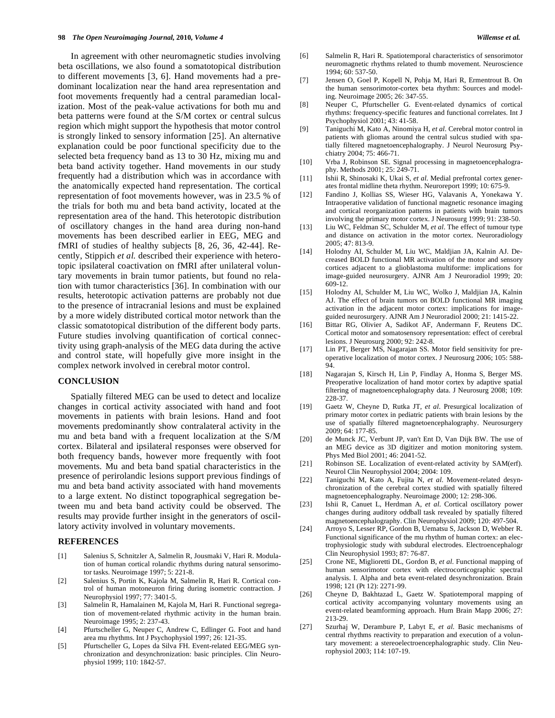In agreement with other neuromagnetic studies involving beta oscillations, we also found a somatotopical distribution to different movements [3, 6]. Hand movements had a predominant localization near the hand area representation and foot movements frequently had a central paramedian localization. Most of the peak-value activations for both mu and beta patterns were found at the S/M cortex or central sulcus region which might support the hypothesis that motor control is strongly linked to sensory information [25]. An alternative explanation could be poor functional specificity due to the selected beta frequency band as 13 to 30 Hz, mixing mu and beta band activity together. Hand movements in our study frequently had a distribution which was in accordance with the anatomically expected hand representation. The cortical representation of foot movements however, was in 23.5 % of the trials for both mu and beta band activity, located at the representation area of the hand. This heterotopic distribution of oscillatory changes in the hand area during non-hand movements has been described earlier in EEG, MEG and fMRI of studies of healthy subjects [8, 26, 36, 42-44]. Recently, Stippich *et al.* described their experience with heterotopic ipsilateral coactivation on fMRI after unilateral voluntary movements in brain tumor patients, but found no relation with tumor characteristics [36]. In combination with our results, heterotopic activation patterns are probably not due to the presence of intracranial lesions and must be explained by a more widely distributed cortical motor network than the classic somatotopical distribution of the different body parts. Future studies involving quantification of cortical connectivity using graph-analysis of the MEG data during the active and control state, will hopefully give more insight in the complex network involved in cerebral motor control.

# **CONCLUSION**

Spatially filtered MEG can be used to detect and localize changes in cortical activity associated with hand and foot movements in patients with brain lesions. Hand and foot movements predominantly show contralateral activity in the mu and beta band with a frequent localization at the S/M cortex. Bilateral and ipsilateral responses were observed for both frequency bands, however more frequently with foot movements. Mu and beta band spatial characteristics in the presence of perirolandic lesions support previous findings of mu and beta band activity associated with hand movements to a large extent. No distinct topographical segregation between mu and beta band activity could be observed. The results may provide further insight in the generators of oscillatory activity involved in voluntary movements.

# **REFERENCES**

- [1] Salenius S, Schnitzler A, Salmelin R, Jousmaki V, Hari R. Modulation of human cortical rolandic rhythms during natural sensorimotor tasks. Neuroimage 1997; 5: 221-8.
- [2] Salenius S, Portin K, Kajola M, Salmelin R, Hari R. Cortical control of human motoneuron firing during isometric contraction. J Neurophysiol 1997; 77: 3401-5.
- [3] Salmelin R, Hamalainen M, Kajola M, Hari R. Functional segregation of movement-related rhythmic activity in the human brain. Neuroimage 1995; 2: 237-43.
- [4] Pfurtscheller G, Neuper C, Andrew C, Edlinger G. Foot and hand area mu rhythms. Int J Psychophysiol 1997; 26: 121-35.
- [5] Pfurtscheller G, Lopes da Silva FH. Event-related EEG/MEG synchronization and desynchronization: basic principles. Clin Neurophysiol 1999; 110: 1842-57.
- [6] Salmelin R, Hari R. Spatiotemporal characteristics of sensorimotor neuromagnetic rhythms related to thumb movement. Neuroscience 1994; 60: 537-50.
- [7] Jensen O, Goel P, Kopell N, Pohja M, Hari R, Ermentrout B. On the human sensorimotor-cortex beta rhythm: Sources and modeling. Neuroimage 2005; 26: 347-55.
- [8] Neuper C, Pfurtscheller G. Event-related dynamics of cortical rhythms: frequency-specific features and functional correlates. Int J Psychophysiol 2001; 43: 41-58.
- [9] Taniguchi M, Kato A, Ninomiya H, *et al*. Cerebral motor control in patients with gliomas around the central sulcus studied with spatially filtered magnetoencephalography. J Neurol Neurosurg Psychiatry 2004; 75: 466-71.
- [10] Vrba J, Robinson SE. Signal processing in magnetoencephalography. Methods 2001; 25: 249-71.
- [11] Ishii R, Shinosaki K, Ukai S, *et al*. Medial prefrontal cortex generates frontal midline theta rhythm. Neuroreport 1999; 10: 675-9.
- [12] Fandino J, Kollias SS, Wieser HG, Valavanis A, Yonekawa Y. Intraoperative validation of functional magnetic resonance imaging and cortical reorganization patterns in patients with brain tumors involving the primary motor cortex. J Neurosurg 1999; 91: 238-50.
- [13] Liu WC, Feldman SC, Schulder M, *et al*. The effect of tumour type and distance on activation in the motor cortex. Neuroradiology 2005; 47: 813-9.
- [14] Holodny AI, Schulder M, Liu WC, Maldjian JA, Kalnin AJ. Decreased BOLD functional MR activation of the motor and sensory cortices adjacent to a glioblastoma multiforme: implications for image-guided neurosurgery. AJNR Am J Neuroradiol 1999; 20: 609-12.
- [15] Holodny AI, Schulder M, Liu WC, Wolko J, Maldjian JA, Kalnin AJ. The effect of brain tumors on BOLD functional MR imaging activation in the adjacent motor cortex: implications for imageguided neurosurgery. AJNR Am J Neuroradiol 2000; 21: 1415-22.
- [16] Bittar RG, Olivier A, Sadikot AF, Andermann F, Reutens DC. Cortical motor and somatosensory representation: effect of cerebral lesions. J Neurosurg 2000; 92: 242-8.
- [17] Lin PT, Berger MS, Nagarajan SS. Motor field sensitivity for preoperative localization of motor cortex. J Neurosurg 2006; 105: 588- 94.
- [18] Nagarajan S, Kirsch H, Lin P, Findlay A, Honma S, Berger MS. Preoperative localization of hand motor cortex by adaptive spatial filtering of magnetoencephalography data. J Neurosurg 2008; 109: 228-37.
- [19] Gaetz W, Cheyne D, Rutka JT, *et al*. Presurgical localization of primary motor cortex in pediatric patients with brain lesions by the use of spatially filtered magnetoencephalography. Neurosurgery 2009; 64: 177-85.
- [20] de Munck JC, Verbunt JP, van't Ent D, Van Dijk BW. The use of an MEG device as 3D digitizer and motion monitoring system. Phys Med Biol 2001; 46: 2041-52.
- [21] Robinson SE. Localization of event-related activity by SAM(erf). Neurol Clin Neurophysiol 2004; 2004: 109.
- [22] Taniguchi M, Kato A, Fujita N, *et al*. Movement-related desynchronization of the cerebral cortex studied with spatially filtered magnetoencephalography. Neuroimage 2000; 12: 298-306.
- [23] Ishii R, Canuet L, Herdman A, *et al*. Cortical oscillatory power changes during auditory oddball task revealed by spatially filtered magnetoencephalography. Clin Neurophysiol 2009; 120: 497-504.
- [24] Arroyo S, Lesser RP, Gordon B, Uematsu S, Jackson D, Webber R. Functional significance of the mu rhythm of human cortex: an electrophysiologic study with subdural electrodes. Electroencephalogr Clin Neurophysiol 1993; 87: 76-87.
- [25] Crone NE, Miglioretti DL, Gordon B, *et al*. Functional mapping of human sensorimotor cortex with electrocorticographic spectral analysis. I. Alpha and beta event-related desynchronization. Brain 1998; 121 (Pt 12): 2271-99.
- [26] Cheyne D, Bakhtazad L, Gaetz W. Spatiotemporal mapping of cortical activity accompanying voluntary movements using an event-related beamforming approach. Hum Brain Mapp 2006; 27: 213-29.
- [27] Szurhaj W, Derambure P, Labyt E, *et al*. Basic mechanisms of central rhythms reactivity to preparation and execution of a voluntary movement: a stereoelectroencephalographic study. Clin Neurophysiol 2003; 114: 107-19.